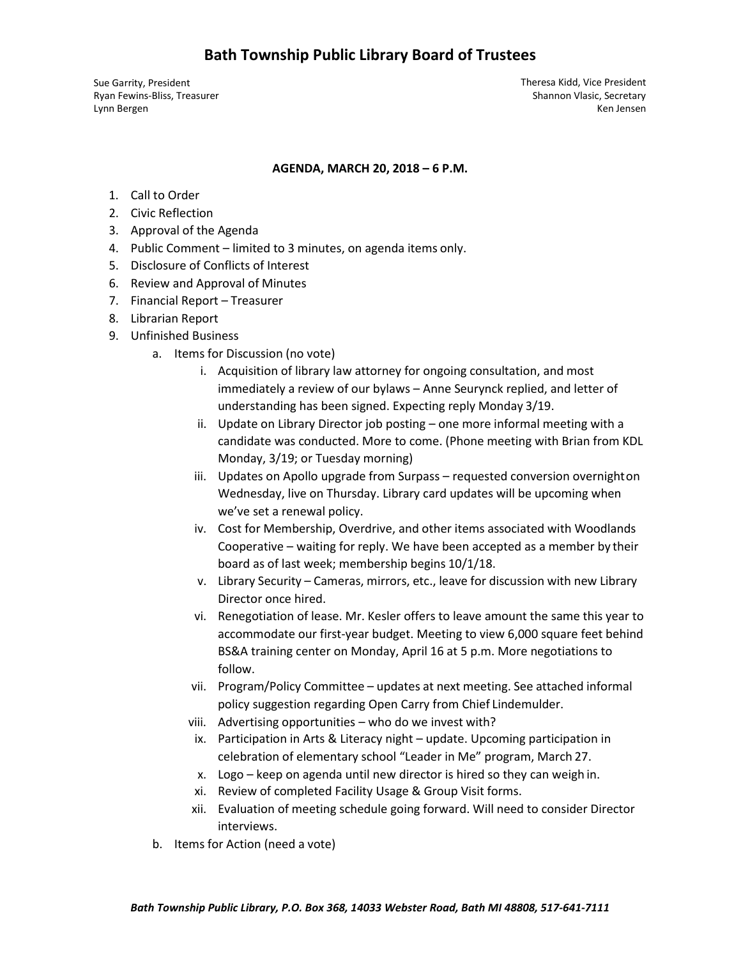Ryan Fewins‐Bliss, Treasurer Lynn Bergen

Sue Garrity, President Theresa Kidd, Vice President Shannon Vlasic, Secretary Ken Jensen

#### **AGENDA, MARCH 20, 2018 – 6 P.M.**

- 1. Call to Order
- 2. Civic Reflection
- 3. Approval of the Agenda
- 4. Public Comment limited to 3 minutes, on agenda items only.
- 5. Disclosure of Conflicts of Interest
- 6. Review and Approval of Minutes
- 7. Financial Report Treasurer
- 8. Librarian Report
- 9. Unfinished Business
	- a. Items for Discussion (no vote)
		- i. Acquisition of library law attorney for ongoing consultation, and most immediately a review of our bylaws – Anne Seurynck replied, and letter of understanding has been signed. Expecting reply Monday 3/19.
		- ii. Update on Library Director job posting one more informal meeting with a candidate was conducted. More to come. (Phone meeting with Brian from KDL Monday, 3/19; or Tuesday morning)
		- iii. Updates on Apollo upgrade from Surpass requested conversion overnighton Wednesday, live on Thursday. Library card updates will be upcoming when we've set a renewal policy.
		- iv. Cost for Membership, Overdrive, and other items associated with Woodlands Cooperative – waiting for reply. We have been accepted as a member by their board as of last week; membership begins 10/1/18.
		- v. Library Security Cameras, mirrors, etc., leave for discussion with new Library Director once hired.
		- vi. Renegotiation of lease. Mr. Kesler offers to leave amount the same this year to accommodate our first‐year budget. Meeting to view 6,000 square feet behind BS&A training center on Monday, April 16 at 5 p.m. More negotiations to follow.
		- vii. Program/Policy Committee updates at next meeting. See attached informal policy suggestion regarding Open Carry from Chief Lindemulder.
		- viii. Advertising opportunities who do we invest with?
		- ix. Participation in Arts & Literacy night update. Upcoming participation in celebration of elementary school "Leader in Me" program, March 27.
		- x. Logo keep on agenda until new director is hired so they can weigh in.
		- xi. Review of completed Facility Usage & Group Visit forms.
		- xii. Evaluation of meeting schedule going forward. Will need to consider Director interviews.
	- b. Items for Action (need a vote)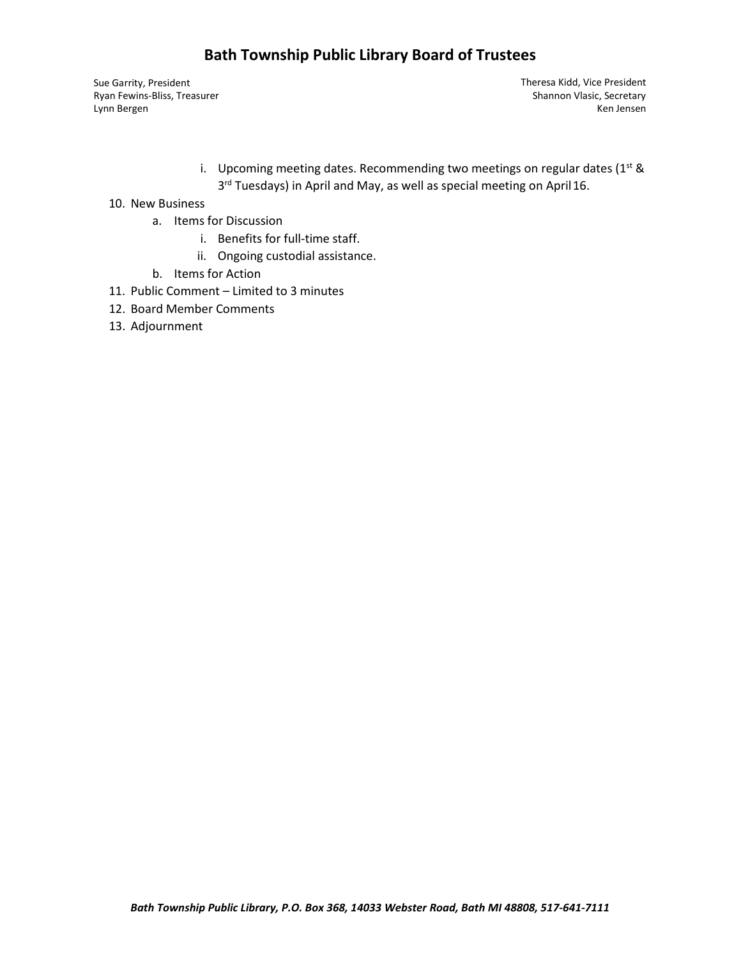## **Bath Township Public Library Board of Trustees**

Sue Garrity, President Theresa Kidd, Vice President Ryan Fewins‐Bliss, Treasurer Lynn Bergen

Shannon Vlasic, Secretary Ken Jensen

i. Upcoming meeting dates. Recommending two meetings on regular dates ( $1<sup>st</sup>$  & 3<sup>rd</sup> Tuesdays) in April and May, as well as special meeting on April 16.

#### 10. New Business

- a. Items for Discussion
	- i. Benefits for full-time staff.
	- ii. Ongoing custodial assistance.
- b. Items for Action
- 11. Public Comment Limited to 3 minutes
- 12. Board Member Comments
- 13. Adjournment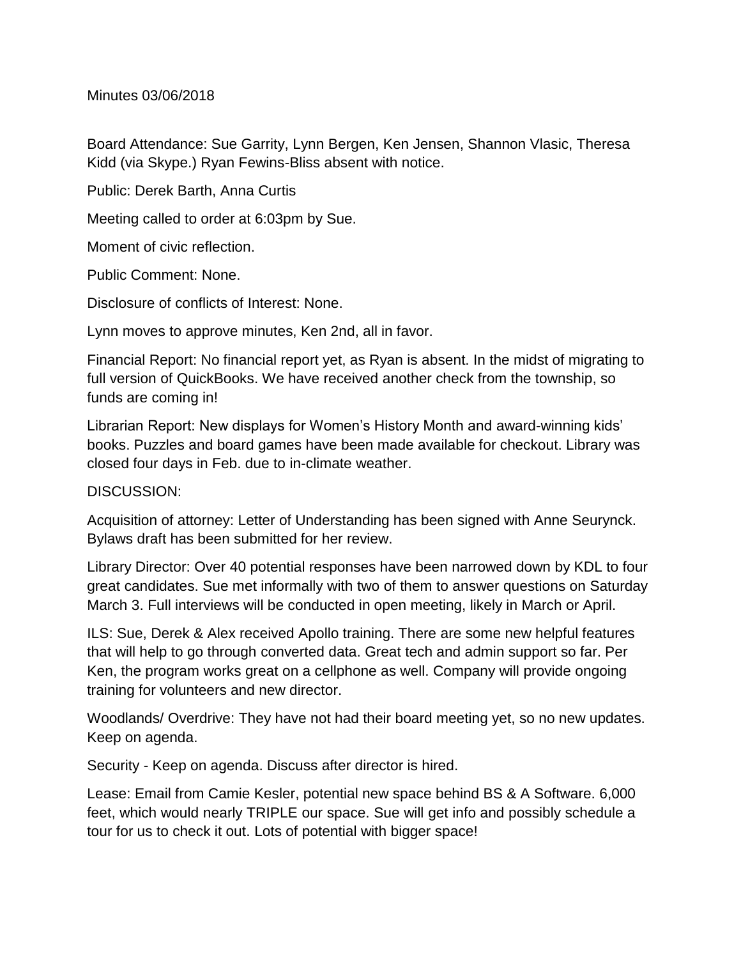Minutes 03/06/2018

Board Attendance: Sue Garrity, Lynn Bergen, Ken Jensen, Shannon Vlasic, Theresa Kidd (via Skype.) Ryan Fewins-Bliss absent with notice.

Public: Derek Barth, Anna Curtis

Meeting called to order at 6:03pm by Sue.

Moment of civic reflection.

Public Comment: None.

Disclosure of conflicts of Interest: None.

Lynn moves to approve minutes, Ken 2nd, all in favor.

Financial Report: No financial report yet, as Ryan is absent. In the midst of migrating to full version of QuickBooks. We have received another check from the township, so funds are coming in!

Librarian Report: New displays for Women's History Month and award-winning kids' books. Puzzles and board games have been made available for checkout. Library was closed four days in Feb. due to in-climate weather.

## DISCUSSION:

Acquisition of attorney: Letter of Understanding has been signed with Anne Seurynck. Bylaws draft has been submitted for her review.

Library Director: Over 40 potential responses have been narrowed down by KDL to four great candidates. Sue met informally with two of them to answer questions on Saturday March 3. Full interviews will be conducted in open meeting, likely in March or April.

ILS: Sue, Derek & Alex received Apollo training. There are some new helpful features that will help to go through converted data. Great tech and admin support so far. Per Ken, the program works great on a cellphone as well. Company will provide ongoing training for volunteers and new director.

Woodlands/ Overdrive: They have not had their board meeting yet, so no new updates. Keep on agenda.

Security - Keep on agenda. Discuss after director is hired.

Lease: Email from Camie Kesler, potential new space behind BS & A Software. 6,000 feet, which would nearly TRIPLE our space. Sue will get info and possibly schedule a tour for us to check it out. Lots of potential with bigger space!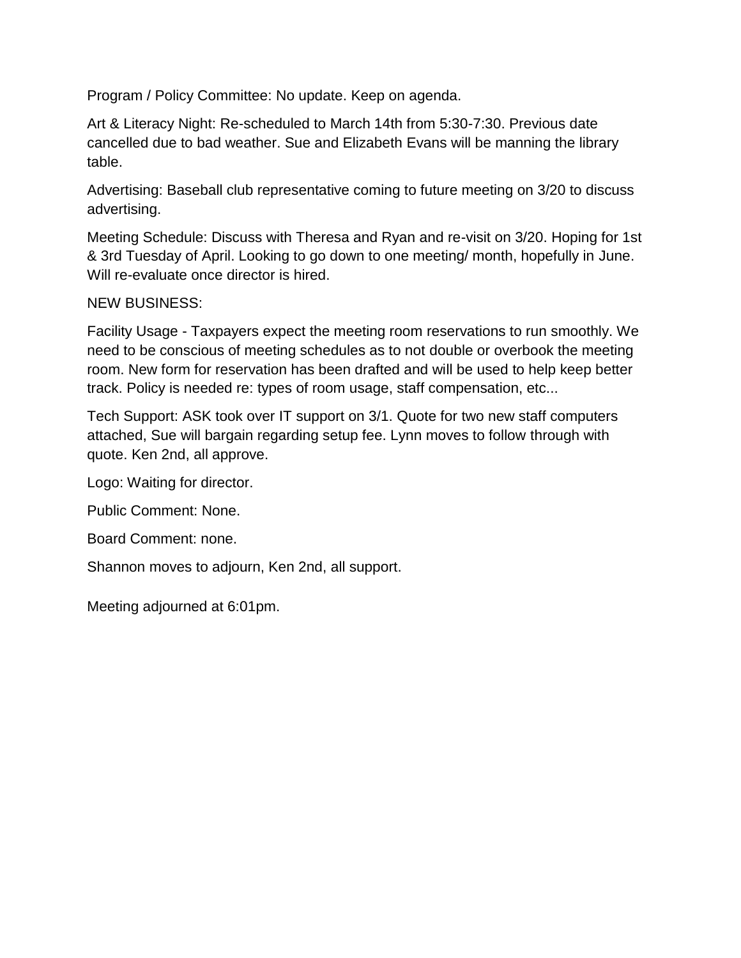Program / Policy Committee: No update. Keep on agenda.

Art & Literacy Night: Re-scheduled to March 14th from 5:30-7:30. Previous date cancelled due to bad weather. Sue and Elizabeth Evans will be manning the library table.

Advertising: Baseball club representative coming to future meeting on 3/20 to discuss advertising.

Meeting Schedule: Discuss with Theresa and Ryan and re-visit on 3/20. Hoping for 1st & 3rd Tuesday of April. Looking to go down to one meeting/ month, hopefully in June. Will re-evaluate once director is hired.

## NEW BUSINESS:

Facility Usage - Taxpayers expect the meeting room reservations to run smoothly. We need to be conscious of meeting schedules as to not double or overbook the meeting room. New form for reservation has been drafted and will be used to help keep better track. Policy is needed re: types of room usage, staff compensation, etc...

Tech Support: ASK took over IT support on 3/1. Quote for two new staff computers attached, Sue will bargain regarding setup fee. Lynn moves to follow through with quote. Ken 2nd, all approve.

Logo: Waiting for director.

Public Comment: None.

Board Comment: none.

Shannon moves to adjourn, Ken 2nd, all support.

Meeting adjourned at 6:01pm.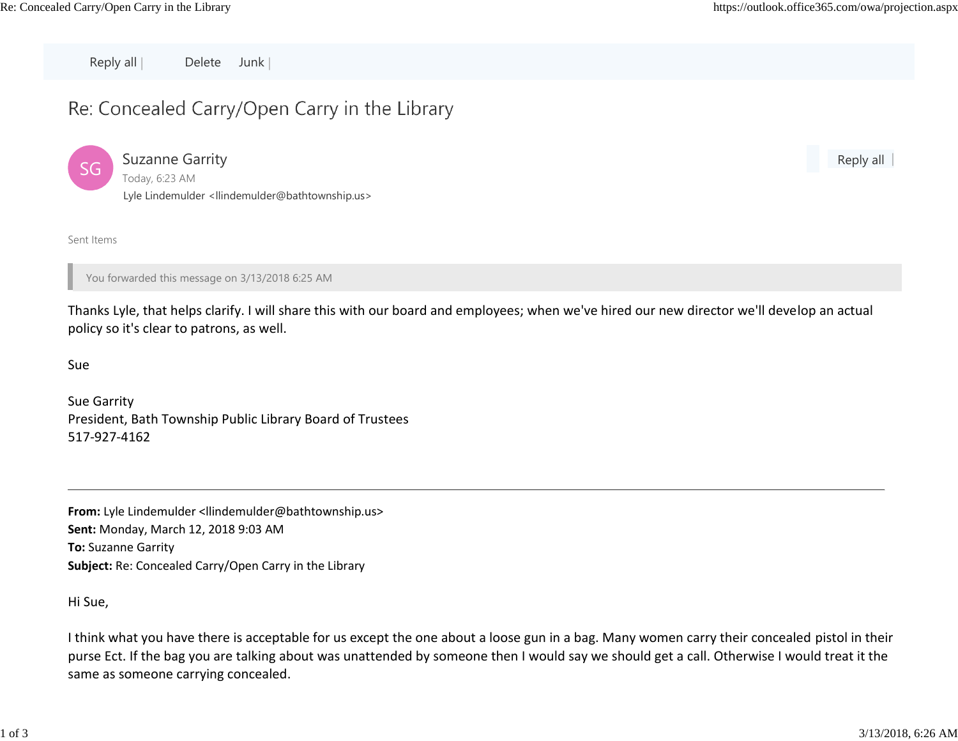Reply all | Delete Junk |

# Re: Concealed Carry/Open Carry in the Library



Suzanne Garrity Today, 6:23 AM Lyle Lindemulder [<llindemulder@bathtownship.us>](mailto:llindemulder@bathtownship.us)

Reply all

Sent Items

You forwarded this message on 3/13/2018 6:25 AM

Thanks Lyle, that helps clarify. I will share this with our board and employees; when we've hired our new director we'll develop an actual policy so it's clear to patrons, as well.

Sue

Sue Garrity President, Bath Township Public Library Board of Trustees 517‐927‐4162

**From:** Lyle Lindemulde[r <llindemulder@bathtownship.us>](mailto:llindemulder@bathtownship.us) **Sent:** Monday, March 12, 2018 9:03 AM **To:** Suzanne Garrity **Subject:** Re: Concealed Carry/Open Carry in the Library

Hi Sue,

I think what you have there is acceptable for us except the one about a loose gun in a bag. Many women carry their concealed pistol in their purse Ect. If the bag you are talking about was unattended by someone then I would say we should get a call. Otherwise I would treat it the same as someone carrying concealed.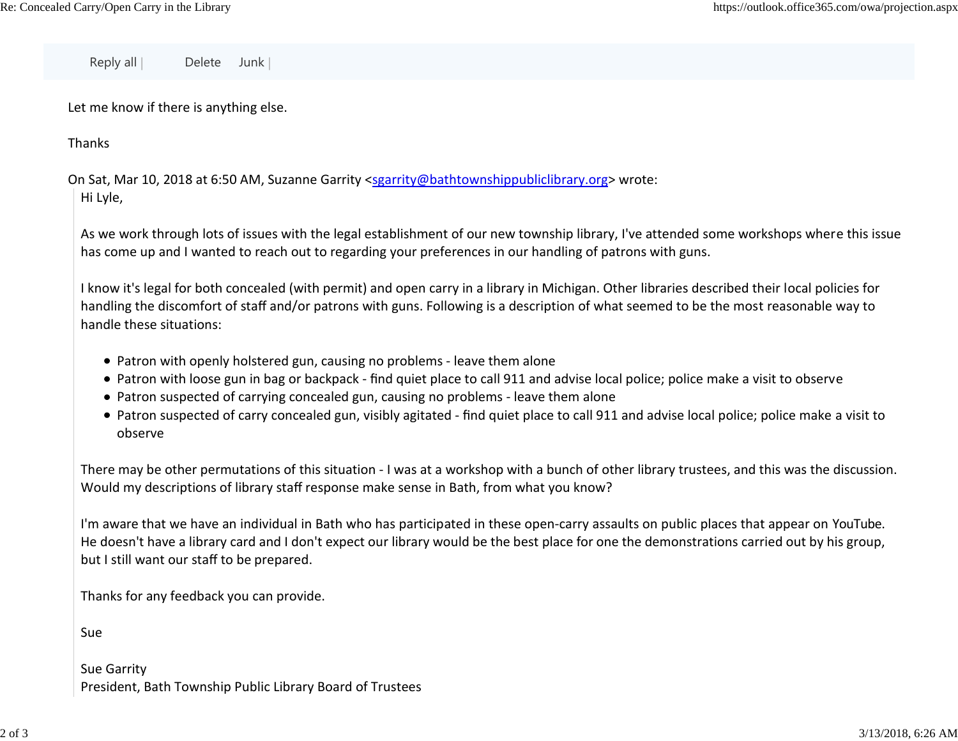Reply all | Delete Junk |

Let me know if there is anything else.

Thanks

On Sat, Mar 10, 2018 at 6:50 AM, Suzanne Garrity [<sgarrity@bathtownshippubliclibrary.org>](mailto:sgarrity@bathtownshippubliclibrary.org) wrote: Hi Lyle,

As we work through lots of issues with the legal establishment of our new township library, I've attended some workshops where this issue has come up and I wanted to reach out to regarding your preferences in our handling of patrons with guns.

I know it's legal for both concealed (with permit) and open carry in a library in Michigan. Other libraries described their local policies for handling the discomfort of staff and/or patrons with guns. Following is a description of what seemed to be the most reasonable way to handle these situations:

- Patron with openly holstered gun, causing no problems leave them alone
- Patron with loose gun in bag or backpack ‐ find quiet place to call 911 and advise local police; police make a visit to observe
- Patron suspected of carrying concealed gun, causing no problems ‐ leave them alone
- Patron suspected of carry concealed gun, visibly agitated find quiet place to call 911 and advise local police; police make a visit to observe

There may be other permutations of this situation ‐ I was at a workshop with a bunch of other library trustees, and this was the discussion. Would my descriptions of library staff response make sense in Bath, from what you know?

I'm aware that we have an individual in Bath who has participated in these open‐carry assaults on public places that appear on YouTube. He doesn't have a library card and I don't expect our library would be the best place for one the demonstrations carried out by his group, but I still want our staff to be prepared.

Thanks for any feedback you can provide.

Sue

Sue Garrity President, Bath Township Public Library Board of Trustees